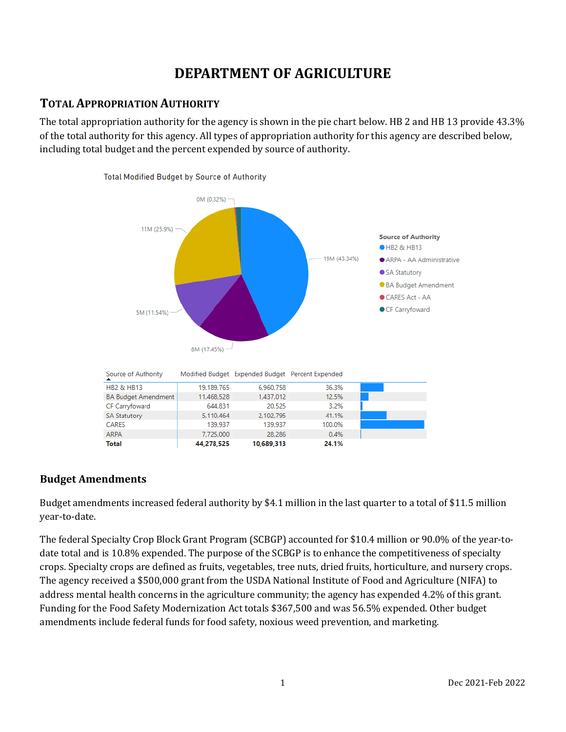# **DEPARTMENT OF AGRICULTURE**

## **TOTAL APPROPRIATION AUTHORITY**

The total appropriation authority for the agency is shown in the pie chart below. HB 2 and HB 13 provide 43.3% of the total authority for this agency. All types of appropriation authority for this agency are described below, including total budget and the percent expended by source of authority.



## **Budget Amendments**

Budget amendments increased federal authority by \$4.1 million in the last quarter to a total of \$11.5 million year-to-date.

The federal Specialty Crop Block Grant Program (SCBGP) accounted for \$10.4 million or 90.0% of the year-todate total and is 10.8% expended. The purpose of the SCBGP is to enhance the competitiveness of specialty crops. Specialty crops are defined as fruits, vegetables, tree nuts, dried fruits, horticulture, and nursery crops. The agency received a \$500,000 grant from the USDA National Institute of Food and Agriculture (NIFA) to address mental health concerns in the agriculture community; the agency has expended 4.2% of this grant. Funding for the Food Safety Modernization Act totals \$367,500 and was 56.5% expended. Other budget amendments include federal funds for food safety, noxious weed prevention, and marketing.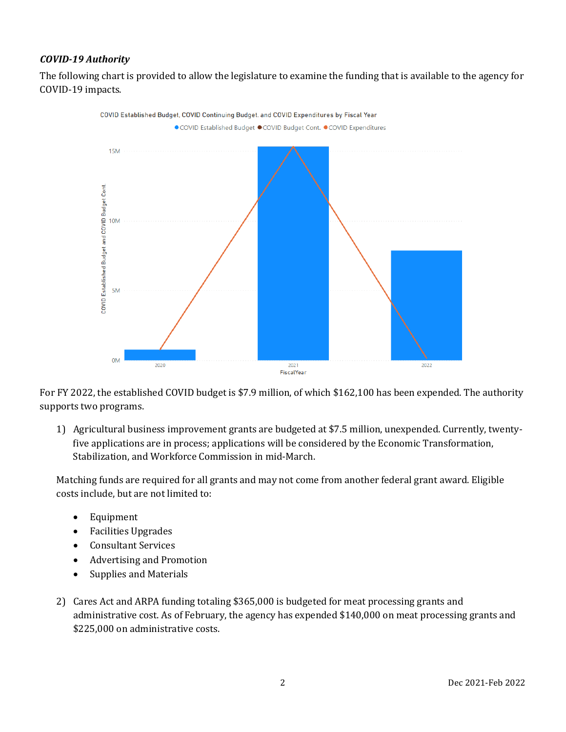### *COVID-19 Authority*

The following chart is provided to allow the legislature to examine the funding that is available to the agency for COVID-19 impacts.



For FY 2022, the established COVID budget is \$7.9 million, of which \$162,100 has been expended. The authority supports two programs.

1) Agricultural business improvement grants are budgeted at \$7.5 million, unexpended. Currently, twentyfive applications are in process; applications will be considered by the Economic Transformation, Stabilization, and Workforce Commission in mid-March.

Matching funds are required for all grants and may not come from another federal grant award. Eligible costs include, but are not limited to:

- Equipment
- Facilities Upgrades
- Consultant Services
- Advertising and Promotion
- Supplies and Materials
- 2) Cares Act and ARPA funding totaling \$365,000 is budgeted for meat processing grants and administrative cost. As of February, the agency has expended \$140,000 on meat processing grants and \$225,000 on administrative costs.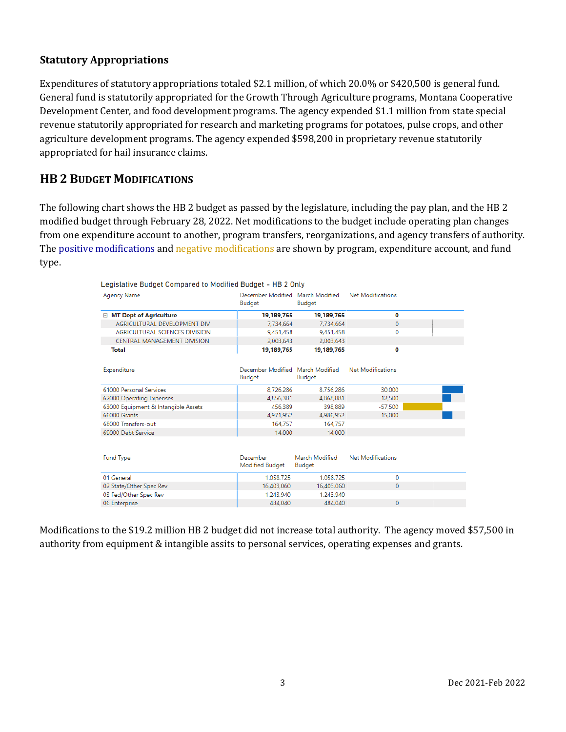## **Statutory Appropriations**

Expenditures of statutory appropriations totaled \$2.1 million, of which 20.0% or \$420,500 is general fund. General fund is statutorily appropriated for the Growth Through Agriculture programs, Montana Cooperative Development Center, and food development programs. The agency expended \$1.1 million from state special revenue statutorily appropriated for research and marketing programs for potatoes, pulse crops, and other agriculture development programs. The agency expended \$598,200 in proprietary revenue statutorily appropriated for hail insurance claims.

## **HB 2 BUDGET MODIFICATIONS**

The following chart shows the HB 2 budget as passed by the legislature, including the pay plan, and the HB 2 modified budget through February 28, 2022. Net modifications to the budget include operating plan changes from one expenditure account to another, program transfers, reorganizations, and agency transfers of authority. The positive modifications and negative modifications are shown by program, expenditure account, and fund type.

| Legislative Budget Compared to Modified Budget - HB 2 Only |                                            |                                 |                          |  |
|------------------------------------------------------------|--------------------------------------------|---------------------------------|--------------------------|--|
| <b>Agency Name</b>                                         | December Modified March Modified<br>Budget | Budget                          | Net Modifications        |  |
| □ MT Dept of Agriculture                                   | 19,189,765                                 | 19,189,765                      | $\mathbf 0$              |  |
| AGRICULTURAL DEVELOPMENT DIV                               | 7.734.664                                  | 7.734.664                       | $\Omega$                 |  |
| AGRICULTURAL SCIENCES DIVISION                             | 9.451.458                                  | 9.451.458                       | 0                        |  |
| CENTRAL MANAGEMENT DIVISION                                | 2.003.643                                  | 2.003.643                       |                          |  |
| Total                                                      | 19,189,765                                 | 19,189,765                      | 0                        |  |
| Expenditure                                                | December Modified March Modified<br>Budget | Budget                          | <b>Net Modifications</b> |  |
| 61000 Personal Services                                    | 8,726,286                                  | 8,756,286                       | 30,000                   |  |
| 62000 Operating Expenses                                   | 4.856.381                                  | 4,868,881                       | 12,500                   |  |
| 63000 Equipment & Intangible Assets                        | 456.389                                    | 398.889                         | $-57.500$                |  |
| 66000 Grants                                               | 4.971.952                                  | 4.986.952                       | 15,000                   |  |
| 68000 Transfers-out                                        | 164.757                                    | 164,757                         |                          |  |
| 69000 Debt Service                                         | 14,000                                     | 14.000                          |                          |  |
| <b>Fund Type</b>                                           | December<br>Modified Budget                | March Modified<br><b>Budget</b> | Net Modifications        |  |
| 01 General                                                 | 1.058.725                                  | 1.058.725                       | $\Omega$                 |  |
| 02 State/Other Spec Rev                                    | 16.403.060                                 | 16,403,060                      | $\Omega$                 |  |
| 03 Fed/Other Spec Rev                                      | 1.243.940                                  | 1.243.940                       |                          |  |
| 06 Enternrise                                              | 484,040                                    | 484.040                         | 0                        |  |

Modifications to the \$19.2 million HB 2 budget did not increase total authority. The agency moved \$57,500 in authority from equipment & intangible assits to personal services, operating expenses and grants.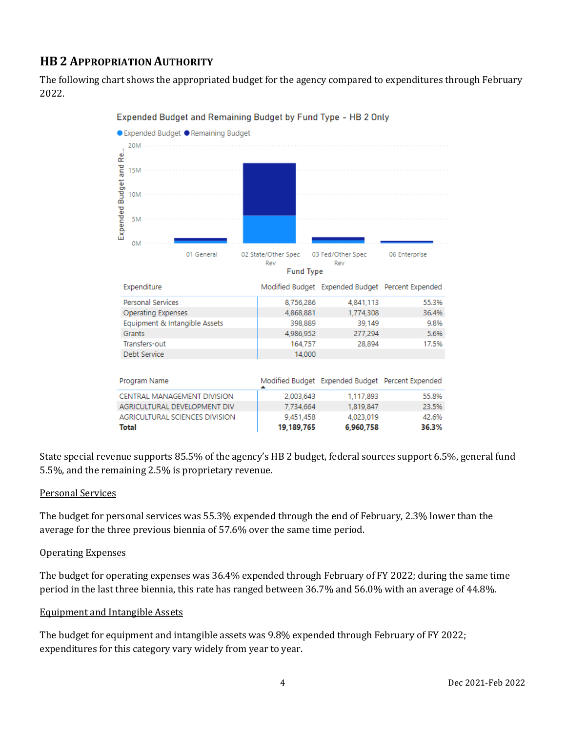## **HB 2 APPROPRIATION AUTHORITY**

The following chart shows the appropriated budget for the agency compared to expenditures through February 2022.



#### Expended Budget and Remaining Budget by Fund Type - HB 2 Only

State special revenue supports 85.5% of the agency's HB 2 budget, federal sources support 6.5%, general fund 5.5%, and the remaining 2.5% is proprietary revenue.

#### Personal Services

The budget for personal services was 55.3% expended through the end of February, 2.3% lower than the average for the three previous biennia of 57.6% over the same time period.

#### Operating Expenses

The budget for operating expenses was 36.4% expended through February of FY 2022; during the same time period in the last three biennia, this rate has ranged between 36.7% and 56.0% with an average of 44.8%.

#### Equipment and Intangible Assets

The budget for equipment and intangible assets was 9.8% expended through February of FY 2022; expenditures for this category vary widely from year to year.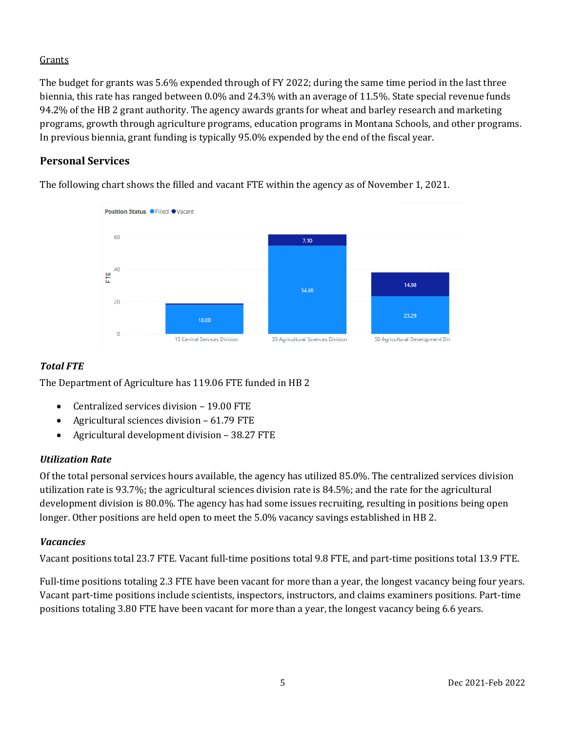## **Grants**

The budget for grants was 5.6% expended through of FY 2022; during the same time period in the last three biennia, this rate has ranged between 0.0% and 24.3% with an average of 11.5%. State special revenue funds 94.2% of the HB 2 grant authority. The agency awards grants for wheat and barley research and marketing programs, growth through agriculture programs, education programs in Montana Schools, and other programs. In previous biennia, grant funding is typically 95.0% expended by the end of the fiscal year.

## **Personal Services**

The following chart shows the filled and vacant FTE within the agency as of November 1, 2021.



## *Total FTE*

The Department of Agriculture has 119.06 FTE funded in HB 2

- Centralized services division 19.00 FTE
- Agricultural sciences division 61.79 FTE
- Agricultural development division 38.27 FTE

## *Utilization Rate*

Of the total personal services hours available, the agency has utilized 85.0%. The centralized services division utilization rate is 93.7%; the agricultural sciences division rate is 84.5%; and the rate for the agricultural development division is 80.0%. The agency has had some issues recruiting, resulting in positions being open longer. Other positions are held open to meet the 5.0% vacancy savings established in HB 2.

#### *Vacancies*

Vacant positions total 23.7 FTE. Vacant full-time positions total 9.8 FTE, and part-time positions total 13.9 FTE.

Full-time positions totaling 2.3 FTE have been vacant for more than a year, the longest vacancy being four years. Vacant part-time positions include scientists, inspectors, instructors, and claims examiners positions. Part-time positions totaling 3.80 FTE have been vacant for more than a year, the longest vacancy being 6.6 years.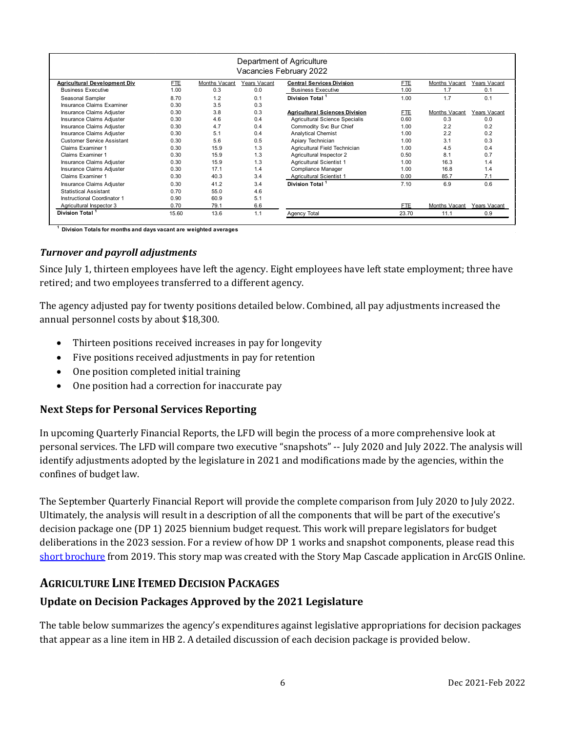| Department of Agriculture<br>Vacancies February 2022 |            |               |              |                                       |       |               |              |
|------------------------------------------------------|------------|---------------|--------------|---------------------------------------|-------|---------------|--------------|
| <b>Agricultural Development Div</b>                  | <b>FTE</b> | Months Vacant | Years Vacant | <b>Central Services Division</b>      | FTE   | Months Vacant | Years Vacant |
| <b>Business Executive</b>                            | 1.00       | 0.3           | 0.0          | <b>Business Executive</b>             | 1.00  | 1.7           | 0.1          |
| Seasonal Sampler                                     | 8.70       | 1.2           | 0.1          | Division Total <sup>1</sup>           | 1.00  | 1.7           | 0.1          |
| Insurance Claims Examiner                            | 0.30       | 3.5           | 0.3          |                                       |       |               |              |
| Insurance Claims Adjuster                            | 0.30       | 3.8           | 0.3          | <b>Agricultural Sciences Division</b> | FTE   | Months Vacant | Years Vacant |
| Insurance Claims Adjuster                            | 0.30       | 4.6           | 0.4          | Agricultural Science Specialis        | 0.60  | 0.3           | 0.0          |
| Insurance Claims Adjuster                            | 0.30       | 4.7           | 0.4          | Commodity Svc Bur Chief               | 1.00  | 2.2           | 0.2          |
| Insurance Claims Adjuster                            | 0.30       | 5.1           | 0.4          | <b>Analytical Chemist</b>             | 1.00  | 2.2           | 0.2          |
| <b>Customer Service Assistant</b>                    | 0.30       | 5.6           | 0.5          | Apiary Technician                     | 1.00  | 3.1           | 0.3          |
| Claims Examiner 1                                    | 0.30       | 15.9          | 1.3          | Agricultural Field Technician         | 1.00  | 4.5           | 0.4          |
| Claims Examiner 1                                    | 0.30       | 15.9          | 1.3          | Agricultural Inspector 2              | 0.50  | 8.1           | 0.7          |
| Insurance Claims Adjuster                            | 0.30       | 15.9          | 1.3          | <b>Agricultural Scientist 1</b>       | 1.00  | 16.3          | 1.4          |
| Insurance Claims Adjuster                            | 0.30       | 17.1          | 1.4          | Compliance Manager                    | 1.00  | 16.8          | 1.4          |
| Claims Examiner 1                                    | 0.30       | 40.3          | 3.4          | <b>Agricultural Scientist 1</b>       | 0.00  | 85.7          | 7.1          |
| Insurance Claims Adjuster                            | 0.30       | 41.2          | 3.4          | Division Total <sup>1</sup>           | 7.10  | 6.9           | 0.6          |
| <b>Statistical Assistant</b>                         | 0.70       | 55.0          | 4.6          |                                       |       |               |              |
| Instructional Coordinator 1                          | 0.90       | 60.9          | 5.1          |                                       |       |               |              |
| Agricultural Inspector 3                             | 0.70       | 79.1          | 6.6          |                                       | FTE   | Months Vacant | Years Vacant |
| Division Total <sup>1</sup>                          | 15.60      | 13.6          | 1.1          | Agency Total                          | 23.70 | 11.1          | 0.9          |

**1 Division Totals for months and days vacant are weighted averages** 

#### *Turnover and payroll adjustments*

Since July 1, thirteen employees have left the agency. Eight employees have left state employment; three have retired; and two employees transferred to a different agency.

The agency adjusted pay for twenty positions detailed below. Combined, all pay adjustments increased the annual personnel costs by about \$18,300.

- Thirteen positions received increases in pay for longevity
- Five positions received adjustments in pay for retention
- One position completed initial training
- One position had a correction for inaccurate pay

#### **Next Steps for Personal Services Reporting**

In upcoming Quarterly Financial Reports, the LFD will begin the process of a more comprehensive look at personal services. The LFD will compare two executive "snapshots" -- July 2020 and July 2022. The analysis will identify adjustments adopted by the legislature in 2021 and modifications made by the agencies, within the confines of budget law.

The September Quarterly Financial Report will provide the complete comparison from July 2020 to July 2022. Ultimately, the analysis will result in a description of all the components that will be part of the executive's decision package one (DP 1) 2025 biennium budget request. This work will prepare legislators for budget deliberations in the 2023 session. For a review of how DP 1 works and snapshot components, please read this [short brochure](https://montana.maps.arcgis.com/apps/Cascade/index.html?appid=23095fcf15754f4fb38b63c58a884b97) from 2019. This story map was created with the Story Map Cascade application in ArcGIS Online.

## **AGRICULTURE LINE ITEMED DECISION PACKAGES**

## **Update on Decision Packages Approved by the 2021 Legislature**

The table below summarizes the agency's expenditures against legislative appropriations for decision packages that appear as a line item in HB 2. A detailed discussion of each decision package is provided below.